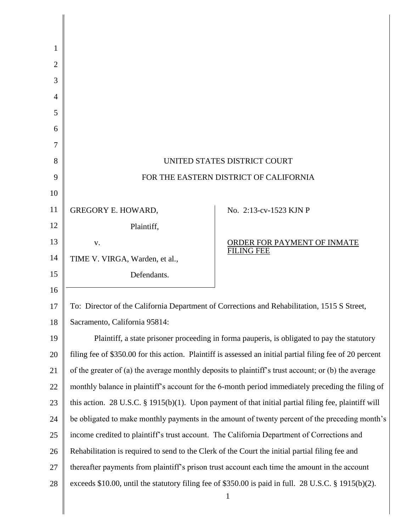| 1              |                                                                                                           |                                                  |
|----------------|-----------------------------------------------------------------------------------------------------------|--------------------------------------------------|
| $\overline{2}$ |                                                                                                           |                                                  |
| 3              |                                                                                                           |                                                  |
| 4              |                                                                                                           |                                                  |
| 5              |                                                                                                           |                                                  |
| 6              |                                                                                                           |                                                  |
| 7              |                                                                                                           |                                                  |
| 8              | UNITED STATES DISTRICT COURT                                                                              |                                                  |
| 9              | FOR THE EASTERN DISTRICT OF CALIFORNIA                                                                    |                                                  |
| 10             |                                                                                                           |                                                  |
| 11             | <b>GREGORY E. HOWARD,</b>                                                                                 | No. 2:13-cv-1523 KJN P                           |
| 12             | Plaintiff,                                                                                                |                                                  |
| 13             | V.                                                                                                        | ORDER FOR PAYMENT OF INMATE<br><b>FILING FEE</b> |
| 14             | TIME V. VIRGA, Warden, et al.,                                                                            |                                                  |
| 15             | Defendants.                                                                                               |                                                  |
| 16             |                                                                                                           |                                                  |
| 17             | To: Director of the California Department of Corrections and Rehabilitation, 1515 S Street,               |                                                  |
| 18             | Sacramento, California 95814:                                                                             |                                                  |
| 19             | Plaintiff, a state prisoner proceeding in forma pauperis, is obligated to pay the statutory               |                                                  |
| 20             | filing fee of \$350.00 for this action. Plaintiff is assessed an initial partial filing fee of 20 percent |                                                  |
| 21             | of the greater of (a) the average monthly deposits to plaintiff's trust account; or (b) the average       |                                                  |
| 22             | monthly balance in plaintiff's account for the 6-month period immediately preceding the filing of         |                                                  |
| 23             | this action. 28 U.S.C. $\S$ 1915(b)(1). Upon payment of that initial partial filing fee, plaintiff will   |                                                  |
| 24             | be obligated to make monthly payments in the amount of twenty percent of the preceding month's            |                                                  |
| 25             | income credited to plaintiff's trust account. The California Department of Corrections and                |                                                  |
| 26             | Rehabilitation is required to send to the Clerk of the Court the initial partial filing fee and           |                                                  |
| 27             | thereafter payments from plaintiff's prison trust account each time the amount in the account             |                                                  |
| 28             | exceeds \$10.00, until the statutory filing fee of \$350.00 is paid in full. 28 U.S.C. § 1915(b)(2).      |                                                  |
|                |                                                                                                           | $\mathbf{1}$                                     |

║